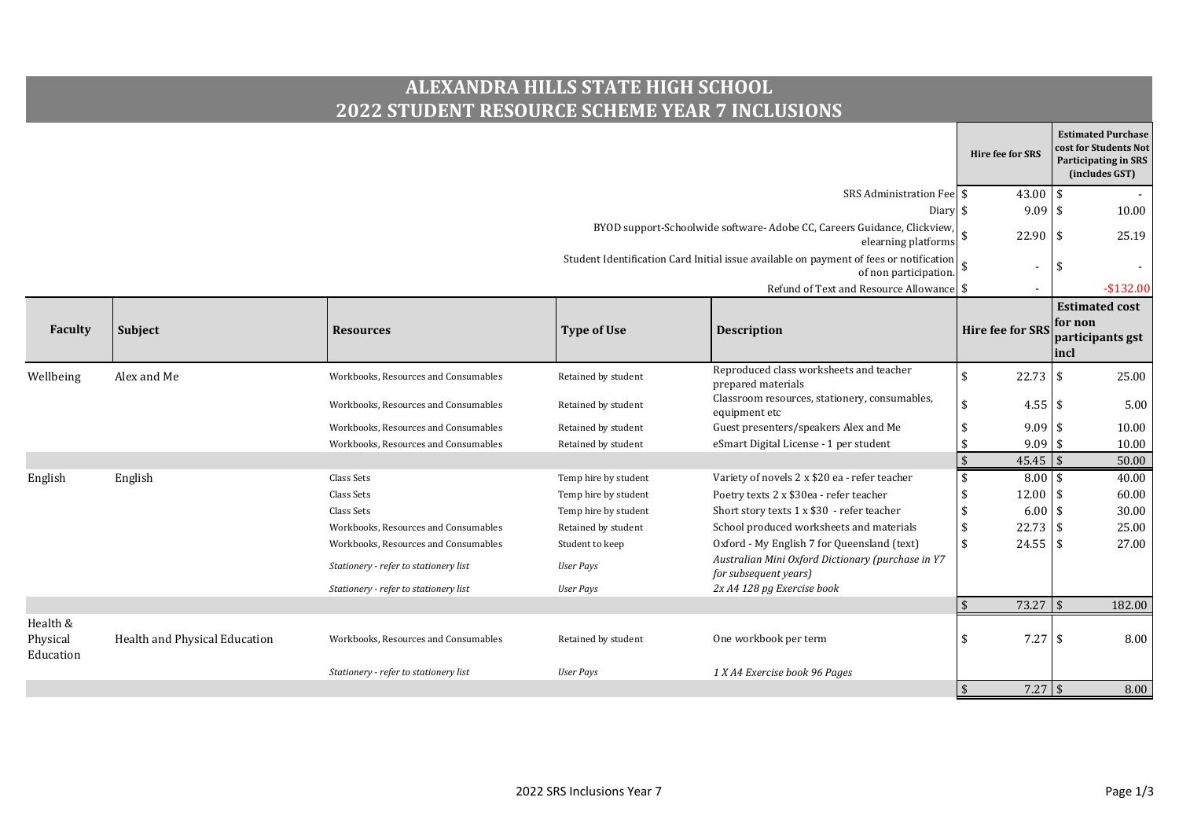## **ALEXANDRA HILLS STATE HIGH SCHOOL 2022 STUDENT RESOURCE SCHEME YEAR 7 INCLUSIONS**

|                                   |                               |                                       |                      |                                                                                                                                                                                                                    |            |                         |                 | <b>Estimated Purchase</b><br>cost for Students Not<br>Participating in SRS<br>(includes GST) |
|-----------------------------------|-------------------------------|---------------------------------------|----------------------|--------------------------------------------------------------------------------------------------------------------------------------------------------------------------------------------------------------------|------------|-------------------------|-----------------|----------------------------------------------------------------------------------------------|
|                                   |                               |                                       |                      | SRS Administration Fee                                                                                                                                                                                             |            | $43.00$ \$              |                 |                                                                                              |
|                                   |                               |                                       |                      | Diary \$                                                                                                                                                                                                           |            | $9.09$ \$               |                 | 10.00                                                                                        |
|                                   |                               |                                       |                      | BYOD support-Schoolwide software- Adobe CC, Careers Guidance, Clickview,<br>elearning platforms<br>Student Identification Card Initial issue available on payment of fees or notification<br>of non participation. |            |                         | $22.90$ \$      | 25.19                                                                                        |
|                                   |                               |                                       |                      |                                                                                                                                                                                                                    |            |                         |                 |                                                                                              |
|                                   |                               |                                       |                      | Refund of Text and Resource Allowance \$                                                                                                                                                                           |            |                         |                 | $-$132.00$                                                                                   |
| Faculty                           | Subject                       | <b>Resources</b>                      | <b>Type of Use</b>   | <b>Description</b>                                                                                                                                                                                                 |            | <b>Hire fee for SRS</b> | for non<br>incl | <b>Estimated cost</b><br>participants gst                                                    |
| Wellbeing                         | Alex and Me                   | Workbooks, Resources and Consumables  | Retained by student  | Reproduced class worksheets and teacher                                                                                                                                                                            | \$         | 22.73                   | l \$            | 25.00                                                                                        |
|                                   |                               | Workbooks, Resources and Consumables  | Retained by student  | prepared materials<br>Classroom resources, stationery, consumables,<br>equipment etc                                                                                                                               | \$         | $4.55$ \$               |                 | 5.00                                                                                         |
|                                   |                               | Workbooks, Resources and Consumables  | Retained by student  | Guest presenters/speakers Alex and Me                                                                                                                                                                              | \$         | $9.09$ \$               |                 | 10.00                                                                                        |
|                                   |                               | Workbooks, Resources and Consumables  | Retained by student  | eSmart Digital License - 1 per student                                                                                                                                                                             | \$         | $9.09$ \$               |                 | 10.00                                                                                        |
|                                   |                               |                                       |                      |                                                                                                                                                                                                                    | $\sqrt{5}$ | $45.45$ \$              |                 | 50.00                                                                                        |
| English                           | English                       | Class Sets                            | Temp hire by student | Variety of novels 2 x \$20 ea - refer teacher                                                                                                                                                                      | \$         | $8.00$ \$               |                 | 40.00                                                                                        |
|                                   |                               | Class Sets                            | Temp hire by student | Poetry texts 2 x \$30ea - refer teacher                                                                                                                                                                            | \$         | 12.00                   |                 | 60.00                                                                                        |
|                                   |                               | Class Sets                            | Temp hire by student | Short story texts 1 x \$30 - refer teacher                                                                                                                                                                         | \$         | 6.00                    |                 | 30.00                                                                                        |
|                                   |                               | Workbooks, Resources and Consumables  | Retained by student  | School produced worksheets and materials                                                                                                                                                                           | \$         | 22.73                   |                 | 25.00                                                                                        |
|                                   |                               | Workbooks, Resources and Consumables  | Student to keep      | Oxford - My English 7 for Queensland (text)                                                                                                                                                                        | \$         | $24.55$ \$              |                 | 27.00                                                                                        |
|                                   |                               | Stationery - refer to stationery list | User Pays            | Australian Mini Oxford Dictionary (purchase in Y7<br>for subsequent years)                                                                                                                                         |            |                         |                 |                                                                                              |
|                                   |                               | Stationery - refer to stationery list | <b>User Pays</b>     | 2x A4 128 pg Exercise book                                                                                                                                                                                         |            |                         |                 |                                                                                              |
|                                   |                               |                                       |                      |                                                                                                                                                                                                                    | $\sqrt{3}$ | $73.27$ \$              |                 | 182.00                                                                                       |
| Health &<br>Physical<br>Education | Health and Physical Education | Workbooks, Resources and Consumables  | Retained by student  | One workbook per term                                                                                                                                                                                              | \$         | 7.27                    | l \$            | 8.00                                                                                         |
|                                   |                               | Stationery - refer to stationery list | <b>User Pays</b>     | 1 X A4 Exercise book 96 Pages                                                                                                                                                                                      |            |                         |                 |                                                                                              |
|                                   |                               |                                       |                      |                                                                                                                                                                                                                    | $\sqrt{5}$ | $7.27$ \$               |                 | 8.00                                                                                         |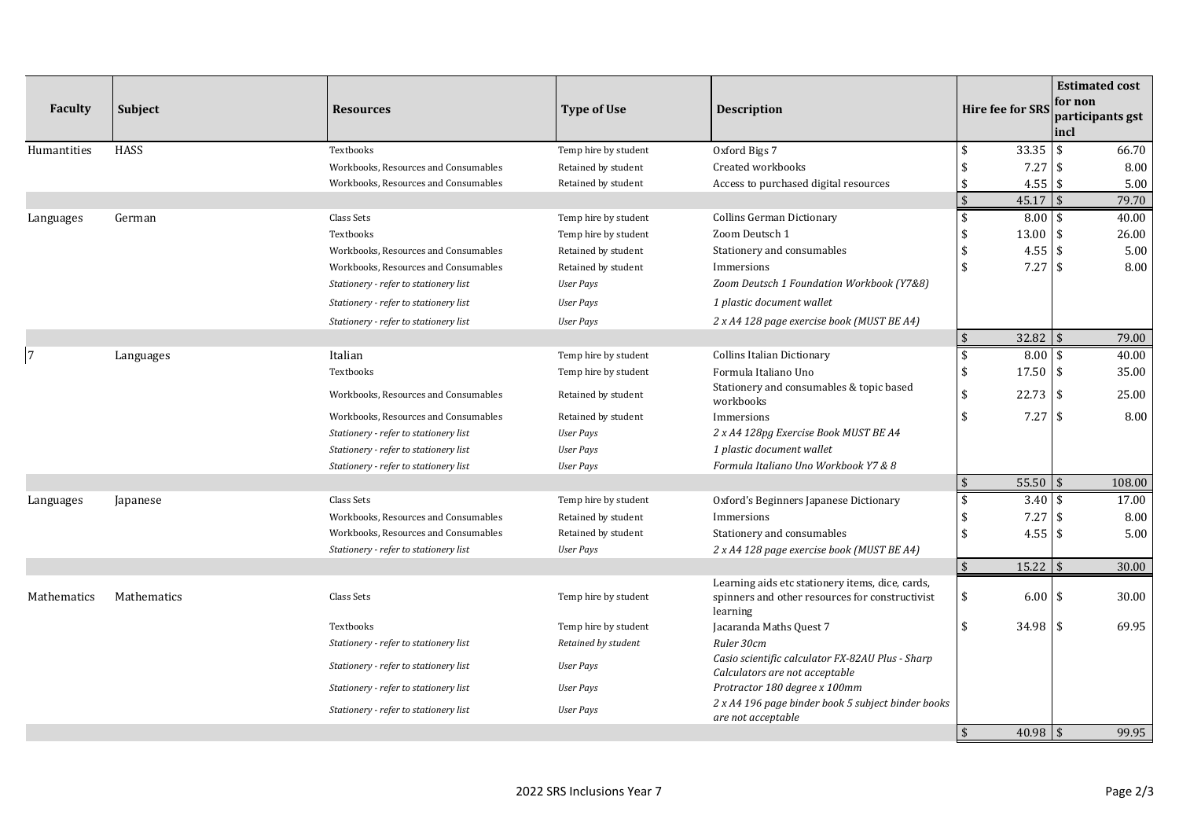| Faculty        | Subject     | <b>Resources</b>                      | <b>Type of Use</b>   | <b>Description</b>                                                                                              | <b>Hire fee for SRS</b> |             | incl          | <b>Estimated cost</b><br>for non<br>participants gst |
|----------------|-------------|---------------------------------------|----------------------|-----------------------------------------------------------------------------------------------------------------|-------------------------|-------------|---------------|------------------------------------------------------|
| Humantities    | <b>HASS</b> | Textbooks                             | Temp hire by student | Oxford Bigs 7                                                                                                   | \$                      | 33.35       | <b>S</b>      | 66.70                                                |
|                |             | Workbooks, Resources and Consumables  | Retained by student  | Created workbooks                                                                                               |                         | 7.27        | l \$          | 8.00                                                 |
|                |             | Workbooks, Resources and Consumables  | Retained by student  | Access to purchased digital resources                                                                           |                         | 4.55        | <b>\$</b>     | 5.00                                                 |
|                |             |                                       |                      |                                                                                                                 | $\sqrt{5}$              | 45.17       | $\frac{1}{3}$ | 79.70                                                |
| Languages      | German      | Class Sets                            | Temp hire by student | <b>Collins German Dictionary</b>                                                                                | \$                      | $8.00*$     |               | 40.00                                                |
|                |             | Textbooks                             | Temp hire by student | Zoom Deutsch 1                                                                                                  | \$                      | 13.00       | l \$          | 26.00                                                |
|                |             | Workbooks, Resources and Consumables  | Retained by student  | Stationery and consumables                                                                                      |                         | 4.55        | l \$          | 5.00                                                 |
|                |             | Workbooks, Resources and Consumables  | Retained by student  | Immersions                                                                                                      | \$                      | 7.27        | l \$          | 8.00                                                 |
|                |             | Stationery - refer to stationery list | <b>User Pays</b>     | Zoom Deutsch 1 Foundation Workbook (Y7&8)                                                                       |                         |             |               |                                                      |
|                |             | Stationery - refer to stationery list | <b>User Pays</b>     | 1 plastic document wallet                                                                                       |                         |             |               |                                                      |
|                |             | Stationery - refer to stationery list | <b>User Pays</b>     | 2 x A4 128 page exercise book (MUST BE A4)                                                                      |                         |             |               |                                                      |
|                |             |                                       |                      |                                                                                                                 | \$                      | $32.82$ \$  |               | 79.00                                                |
| $\overline{7}$ | Languages   | Italian                               | Temp hire by student | <b>Collins Italian Dictionary</b>                                                                               | $\overline{\mathbf{S}}$ | 8.00        | l \$          | 40.00                                                |
|                |             | Textbooks                             | Temp hire by student | Formula Italiano Uno                                                                                            | \$                      | 17.50       | l \$          | 35.00                                                |
|                |             | Workbooks, Resources and Consumables  | Retained by student  | Stationery and consumables & topic based<br>workbooks                                                           | \$                      | 22.73       | l \$          | 25.00                                                |
|                |             | Workbooks, Resources and Consumables  | Retained by student  | Immersions                                                                                                      | \$                      | $7.27$ \$   |               | 8.00                                                 |
|                |             | Stationery - refer to stationery list | User Pays            | 2 x A4 128pg Exercise Book MUST BE A4                                                                           |                         |             |               |                                                      |
|                |             | Stationery - refer to stationery list | <b>User Pays</b>     | 1 plastic document wallet                                                                                       |                         |             |               |                                                      |
|                |             | Stationery - refer to stationery list | <b>User Pays</b>     | Formula Italiano Uno Workbook Y7 & 8                                                                            |                         |             |               |                                                      |
|                |             |                                       |                      |                                                                                                                 | $\sqrt{5}$              | $55.50$ \\$ |               | 108.00                                               |
| Languages      | Japanese    | Class Sets                            | Temp hire by student | Oxford's Beginners Japanese Dictionary                                                                          | \$                      | 3.40        | l \$          | 17.00                                                |
|                |             | Workbooks, Resources and Consumables  | Retained by student  | Immersions                                                                                                      | \$                      | 7.27        |               | 8.00                                                 |
|                |             | Workbooks, Resources and Consumables  | Retained by student  | Stationery and consumables                                                                                      | \$                      | 4.55        | l \$          | 5.00                                                 |
|                |             | Stationery - refer to stationery list | User Pays            | 2 x A4 128 page exercise book (MUST BE A4)                                                                      |                         |             |               |                                                      |
|                |             |                                       |                      |                                                                                                                 | $\sqrt{5}$              | $15.22$ \$  |               | 30.00                                                |
| Mathematics    | Mathematics | Class Sets                            | Temp hire by student | Learning aids etc stationery items, dice, cards,<br>spinners and other resources for constructivist<br>learning | \$                      | 6.00        | l \$          | 30.00                                                |
|                |             | Textbooks                             | Temp hire by student | Jacaranda Maths Quest 7                                                                                         | \$                      | $34.98$ \$  |               | 69.95                                                |
|                |             | Stationery - refer to stationery list | Retained by student  | Ruler 30cm                                                                                                      |                         |             |               |                                                      |
|                |             | Stationery - refer to stationery list | User Pays            | Casio scientific calculator FX-82AU Plus - Sharp<br>Calculators are not acceptable                              |                         |             |               |                                                      |
|                |             | Stationery - refer to stationery list | <b>User Pays</b>     | Protractor 180 degree x 100mm                                                                                   |                         |             |               |                                                      |
|                |             | Stationery - refer to stationery list | <b>User Pays</b>     | 2 x A4 196 page binder book 5 subject binder books<br>are not acceptable                                        |                         |             |               |                                                      |
|                |             |                                       |                      |                                                                                                                 | $\mathbf{\hat{S}}$      | $40.98$ \$  |               | 99.95                                                |